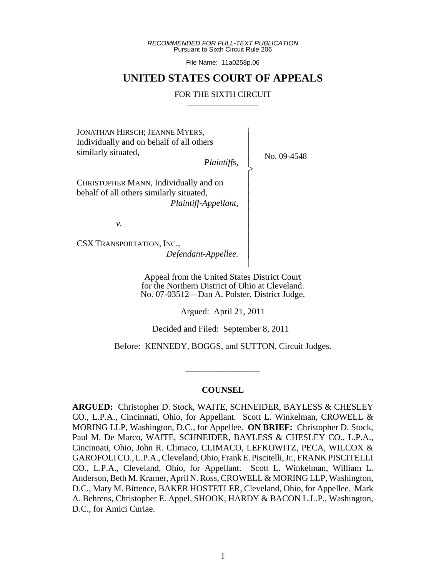*RECOMMENDED FOR FULL-TEXT PUBLICATION* Pursuant to Sixth Circuit Rule 206

File Name: 11a0258p.06

## **UNITED STATES COURT OF APPEALS**

### FOR THE SIXTH CIRCUIT

 $\overline{\phantom{a}}$ - - - > , - - - - - - - - - - N

JONATHAN HIRSCH; JEANNE MYERS, Individually and on behalf of all others similarly situated,

*Plaintiffs*,

No. 09-4548

CHRISTOPHER MANN, Individually and on behalf of all others similarly situated,  *Plaintiff-Appellant,*

*v.*

CSX TRANSPORTATION, INC., *Defendant-Appellee.*

> Appeal from the United States District Court for the Northern District of Ohio at Cleveland. No. 07-03512—Dan A. Polster, District Judge.

> > Argued: April 21, 2011

Decided and Filed: September 8, 2011

Before: KENNEDY, BOGGS, and SUTTON, Circuit Judges.

## **COUNSEL**

\_\_\_\_\_\_\_\_\_\_\_\_\_\_\_\_\_

**ARGUED:** Christopher D. Stock, WAITE, SCHNEIDER, BAYLESS & CHESLEY CO., L.P.A., Cincinnati, Ohio, for Appellant. Scott L. Winkelman, CROWELL & MORING LLP, Washington, D.C., for Appellee. **ON BRIEF:** Christopher D. Stock, Paul M. De Marco, WAITE, SCHNEIDER, BAYLESS & CHESLEY CO., L.P.A., Cincinnati, Ohio, John R. Climaco, CLIMACO, LEFKOWITZ, PECA, WILCOX & GAROFOLI CO., L.P.A., Cleveland, Ohio, Frank E. Piscitelli, Jr., FRANK PISCITELLI CO., L.P.A., Cleveland, Ohio, for Appellant. Scott L. Winkelman, William L. Anderson, Beth M. Kramer, April N. Ross, CROWELL & MORING LLP, Washington, D.C., Mary M. Bittence, BAKER HOSTETLER, Cleveland, Ohio, for Appellee. Mark A. Behrens, Christopher E. Appel, SHOOK, HARDY & BACON L.L.P., Washington, D.C., for Amici Curiae.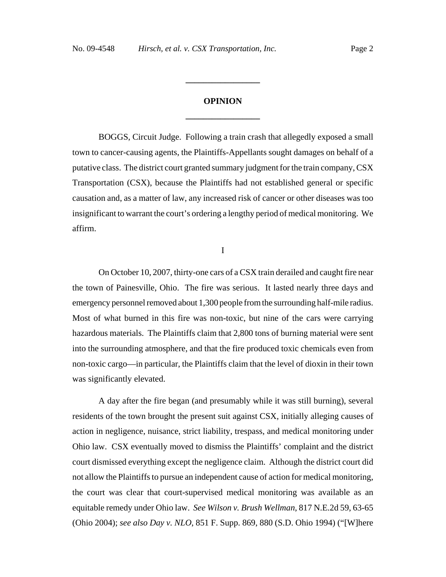# **OPINION \_\_\_\_\_\_\_\_\_\_\_\_\_\_\_\_\_**

**\_\_\_\_\_\_\_\_\_\_\_\_\_\_\_\_\_**

BOGGS, Circuit Judge. Following a train crash that allegedly exposed a small town to cancer-causing agents, the Plaintiffs-Appellants sought damages on behalf of a putative class. The district court granted summary judgment for the train company, CSX Transportation (CSX), because the Plaintiffs had not established general or specific causation and, as a matter of law, any increased risk of cancer or other diseases was too insignificant to warrant the court's ordering a lengthy period of medical monitoring. We affirm.

I

On October 10, 2007, thirty-one cars of a CSX train derailed and caught fire near the town of Painesville, Ohio. The fire was serious. It lasted nearly three days and emergency personnel removed about 1,300 people from the surrounding half-mile radius. Most of what burned in this fire was non-toxic, but nine of the cars were carrying hazardous materials. The Plaintiffs claim that 2,800 tons of burning material were sent into the surrounding atmosphere, and that the fire produced toxic chemicals even from non-toxic cargo—in particular, the Plaintiffs claim that the level of dioxin in their town was significantly elevated.

A day after the fire began (and presumably while it was still burning), several residents of the town brought the present suit against CSX, initially alleging causes of action in negligence, nuisance, strict liability, trespass, and medical monitoring under Ohio law. CSX eventually moved to dismiss the Plaintiffs' complaint and the district court dismissed everything except the negligence claim. Although the district court did not allow the Plaintiffs to pursue an independent cause of action for medical monitoring, the court was clear that court-supervised medical monitoring was available as an equitable remedy under Ohio law. *See Wilson v. Brush Wellman*, 817 N.E.2d 59, 63-65 (Ohio 2004); *see also Day v. NLO*, 851 F. Supp. 869, 880 (S.D. Ohio 1994) ("[W]here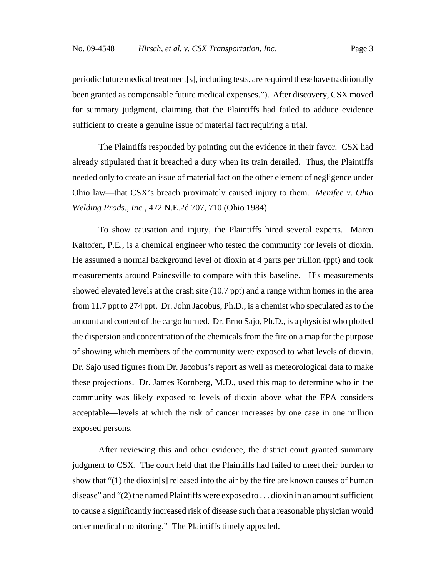periodic future medical treatment[s], including tests, are required these have traditionally been granted as compensable future medical expenses."). After discovery, CSX moved for summary judgment, claiming that the Plaintiffs had failed to adduce evidence sufficient to create a genuine issue of material fact requiring a trial.

The Plaintiffs responded by pointing out the evidence in their favor. CSX had already stipulated that it breached a duty when its train derailed. Thus, the Plaintiffs needed only to create an issue of material fact on the other element of negligence under Ohio law—that CSX's breach proximately caused injury to them. *Menifee v. Ohio Welding Prods., Inc.*, 472 N.E.2d 707, 710 (Ohio 1984).

To show causation and injury, the Plaintiffs hired several experts. Marco Kaltofen, P.E., is a chemical engineer who tested the community for levels of dioxin. He assumed a normal background level of dioxin at 4 parts per trillion (ppt) and took measurements around Painesville to compare with this baseline. His measurements showed elevated levels at the crash site (10.7 ppt) and a range within homes in the area from 11.7 ppt to 274 ppt. Dr. John Jacobus, Ph.D., is a chemist who speculated as to the amount and content of the cargo burned. Dr. Erno Sajo, Ph.D., is a physicist who plotted the dispersion and concentration of the chemicals from the fire on a map for the purpose of showing which members of the community were exposed to what levels of dioxin. Dr. Sajo used figures from Dr. Jacobus's report as well as meteorological data to make these projections. Dr. James Kornberg, M.D., used this map to determine who in the community was likely exposed to levels of dioxin above what the EPA considers acceptable—levels at which the risk of cancer increases by one case in one million exposed persons.

After reviewing this and other evidence, the district court granted summary judgment to CSX. The court held that the Plaintiffs had failed to meet their burden to show that "(1) the dioxin[s] released into the air by the fire are known causes of human disease" and "(2) the named Plaintiffs were exposed to . . . dioxin in an amount sufficient to cause a significantly increased risk of disease such that a reasonable physician would order medical monitoring." The Plaintiffs timely appealed.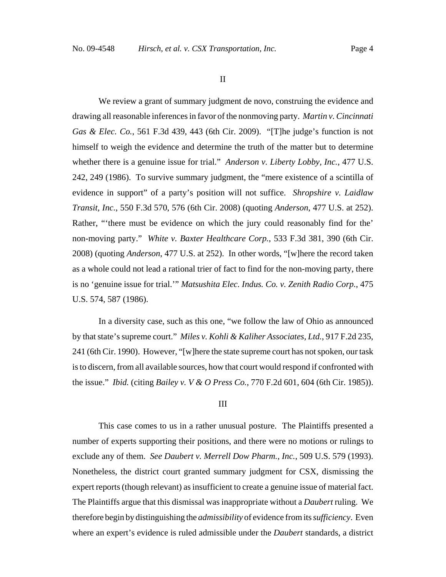II

We review a grant of summary judgment de novo, construing the evidence and drawing all reasonable inferences in favor of the nonmoving party. *Martin v. Cincinnati Gas & Elec. Co.*, 561 F.3d 439, 443 (6th Cir. 2009). "[T]he judge's function is not himself to weigh the evidence and determine the truth of the matter but to determine whether there is a genuine issue for trial." *Anderson v. Liberty Lobby, Inc.*, 477 U.S. 242, 249 (1986). To survive summary judgment, the "mere existence of a scintilla of evidence in support" of a party's position will not suffice. *Shropshire v. Laidlaw Transit, Inc.*, 550 F.3d 570, 576 (6th Cir. 2008) (quoting *Anderson*, 477 U.S. at 252). Rather, "'there must be evidence on which the jury could reasonably find for the' non-moving party." *White v. Baxter Healthcare Corp.*, 533 F.3d 381, 390 (6th Cir. 2008) (quoting *Anderson*, 477 U.S. at 252). In other words, "[w]here the record taken as a whole could not lead a rational trier of fact to find for the non-moving party, there is no 'genuine issue for trial.'" *Matsushita Elec. Indus. Co. v. Zenith Radio Corp.*, 475 U.S. 574, 587 (1986).

In a diversity case, such as this one, "we follow the law of Ohio as announced by that state's supreme court." *Miles v. Kohli & Kaliher Associates, Ltd.*, 917 F.2d 235, 241 (6th Cir. 1990). However, "[w]here the state supreme court has not spoken, our task is to discern, from all available sources, how that court would respond if confronted with the issue." *Ibid.* (citing *Bailey v. V & O Press Co.*, 770 F.2d 601, 604 (6th Cir. 1985)).

#### III

This case comes to us in a rather unusual posture. The Plaintiffs presented a number of experts supporting their positions, and there were no motions or rulings to exclude any of them. *See Daubert v. Merrell Dow Pharm., Inc.*, 509 U.S. 579 (1993). Nonetheless, the district court granted summary judgment for CSX, dismissing the expert reports (though relevant) as insufficient to create a genuine issue of material fact. The Plaintiffs argue that this dismissal was inappropriate without a *Daubert* ruling. We therefore begin by distinguishing the *admissibility* of evidence from its *sufficiency*. Even where an expert's evidence is ruled admissible under the *Daubert* standards, a district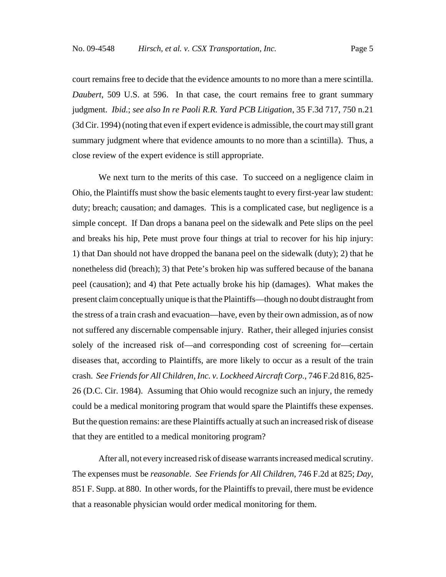court remains free to decide that the evidence amounts to no more than a mere scintilla. *Daubert*, 509 U.S. at 596. In that case, the court remains free to grant summary judgment. *Ibid.*; *see also In re Paoli R.R. Yard PCB Litigation*, 35 F.3d 717, 750 n.21 (3d Cir. 1994) (noting that even if expert evidence is admissible, the court may still grant summary judgment where that evidence amounts to no more than a scintilla). Thus, a close review of the expert evidence is still appropriate.

We next turn to the merits of this case. To succeed on a negligence claim in Ohio, the Plaintiffs must show the basic elements taught to every first-year law student: duty; breach; causation; and damages. This is a complicated case, but negligence is a simple concept. If Dan drops a banana peel on the sidewalk and Pete slips on the peel and breaks his hip, Pete must prove four things at trial to recover for his hip injury: 1) that Dan should not have dropped the banana peel on the sidewalk (duty); 2) that he nonetheless did (breach); 3) that Pete's broken hip was suffered because of the banana peel (causation); and 4) that Pete actually broke his hip (damages). What makes the present claim conceptually unique is that the Plaintiffs—though no doubt distraught from the stress of a train crash and evacuation—have, even by their own admission, as of now not suffered any discernable compensable injury. Rather, their alleged injuries consist solely of the increased risk of—and corresponding cost of screening for—certain diseases that, according to Plaintiffs, are more likely to occur as a result of the train crash. *See Friends for All Children, Inc. v. Lockheed Aircraft Corp.*, 746 F.2d 816, 825- 26 (D.C. Cir. 1984). Assuming that Ohio would recognize such an injury, the remedy could be a medical monitoring program that would spare the Plaintiffs these expenses. But the question remains: are these Plaintiffs actually at such an increased risk of disease that they are entitled to a medical monitoring program?

After all, not every increased risk of disease warrants increased medical scrutiny. The expenses must be *reasonable*. *See Friends for All Children*, 746 F.2d at 825; *Day*, 851 F. Supp. at 880. In other words, for the Plaintiffs to prevail, there must be evidence that a reasonable physician would order medical monitoring for them.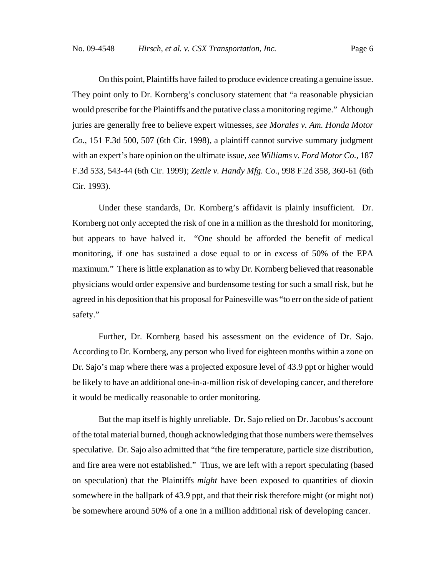On this point, Plaintiffs have failed to produce evidence creating a genuine issue. They point only to Dr. Kornberg's conclusory statement that "a reasonable physician would prescribe for the Plaintiffs and the putative class a monitoring regime." Although juries are generally free to believe expert witnesses, *see Morales v. Am. Honda Motor Co.*, 151 F.3d 500, 507 (6th Cir. 1998), a plaintiff cannot survive summary judgment with an expert's bare opinion on the ultimate issue, *see Williams v. Ford Motor Co.*, 187 F.3d 533, 543-44 (6th Cir. 1999); *Zettle v. Handy Mfg. Co.*, 998 F.2d 358, 360-61 (6th Cir. 1993).

Under these standards, Dr. Kornberg's affidavit is plainly insufficient. Dr. Kornberg not only accepted the risk of one in a million as the threshold for monitoring, but appears to have halved it. "One should be afforded the benefit of medical monitoring, if one has sustained a dose equal to or in excess of 50% of the EPA maximum." There is little explanation as to why Dr. Kornberg believed that reasonable physicians would order expensive and burdensome testing for such a small risk, but he agreed in his deposition that his proposal for Painesville was "to err on the side of patient safety."

Further, Dr. Kornberg based his assessment on the evidence of Dr. Sajo. According to Dr. Kornberg, any person who lived for eighteen months within a zone on Dr. Sajo's map where there was a projected exposure level of 43.9 ppt or higher would be likely to have an additional one-in-a-million risk of developing cancer, and therefore it would be medically reasonable to order monitoring.

But the map itself is highly unreliable. Dr. Sajo relied on Dr. Jacobus's account of the total material burned, though acknowledging that those numbers were themselves speculative. Dr. Sajo also admitted that "the fire temperature, particle size distribution, and fire area were not established." Thus, we are left with a report speculating (based on speculation) that the Plaintiffs *might* have been exposed to quantities of dioxin somewhere in the ballpark of 43.9 ppt, and that their risk therefore might (or might not) be somewhere around 50% of a one in a million additional risk of developing cancer.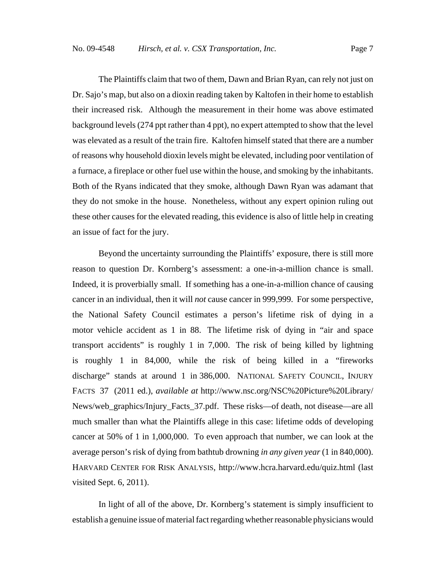The Plaintiffs claim that two of them, Dawn and Brian Ryan, can rely not just on Dr. Sajo's map, but also on a dioxin reading taken by Kaltofen in their home to establish their increased risk. Although the measurement in their home was above estimated background levels (274 ppt rather than 4 ppt), no expert attempted to show that the level was elevated as a result of the train fire. Kaltofen himself stated that there are a number of reasons why household dioxin levels might be elevated, including poor ventilation of a furnace, a fireplace or other fuel use within the house, and smoking by the inhabitants. Both of the Ryans indicated that they smoke, although Dawn Ryan was adamant that they do not smoke in the house. Nonetheless, without any expert opinion ruling out these other causes for the elevated reading, this evidence is also of little help in creating an issue of fact for the jury.

Beyond the uncertainty surrounding the Plaintiffs' exposure, there is still more reason to question Dr. Kornberg's assessment: a one-in-a-million chance is small. Indeed, it is proverbially small. If something has a one-in-a-million chance of causing cancer in an individual, then it will *not* cause cancer in 999,999. For some perspective, the National Safety Council estimates a person's lifetime risk of dying in a motor vehicle accident as 1 in 88. The lifetime risk of dying in "air and space transport accidents" is roughly 1 in 7,000. The risk of being killed by lightning is roughly 1 in 84,000, while the risk of being killed in a "fireworks discharge" stands at around 1 in 386,000. NATIONAL SAFETY COUNCIL, INJURY FACTS 37 (2011 ed.), *available at* http://www.nsc.org/NSC%20Picture%20Library/ News/web\_graphics/Injury\_Facts\_37.pdf. These risks—of death, not disease—are all much smaller than what the Plaintiffs allege in this case: lifetime odds of developing cancer at 50% of 1 in 1,000,000. To even approach that number, we can look at the average person's risk of dying from bathtub drowning *in any given year* (1 in 840,000). HARVARD CENTER FOR RISK ANALYSIS, http://www.hcra.harvard.edu/quiz.html (last visited Sept. 6, 2011).

In light of all of the above, Dr. Kornberg's statement is simply insufficient to establish a genuine issue of material fact regarding whether reasonable physicians would